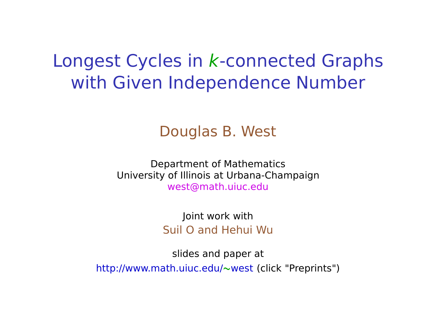## Longest Cycles in k-connected Graphs with Given Independence Number

#### Douglas B. West

Department of Mathematics University of Illinois at Urbana-Champaign west@math.uiuc.edu

> Joint work with Suil O and Hehui Wu

slides and paper at http://www.math.uiuc.edu/**∼**west (click "Preprints")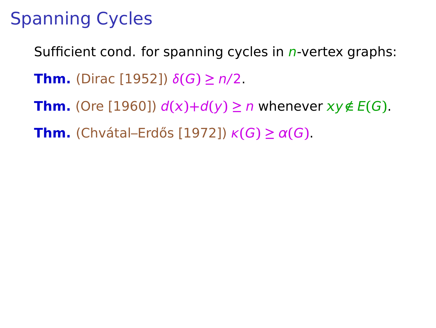# Spanning Cycles

Sufficient cond. for spanning cycles in  $n$ -vertex graphs:

**Thm.** (Dirac [1952])  $δ(G) ≥ n/2$ .

**Thm.** (Ore [1960])  $d(x)+d(y) \ge n$  whenever  $xy \notin E(G)$ .

**Thm.** (Chvátal–Erdős [1972])  $\kappa(G) \geq \alpha(G)$ .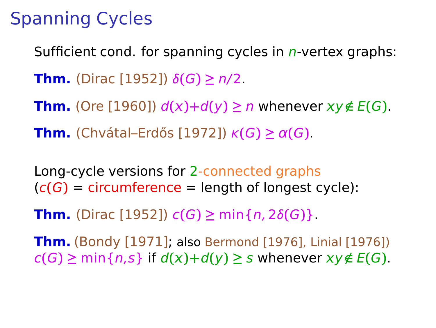# Spanning Cycles

Sufficient cond. for spanning cycles in  $n$ -vertex graphs: **Thm.** (Dirac [1952])  $δ(G) ≥ n/2$ . **Thm.** (Ore [1960])  $d(x)+d(y) \ge n$  whenever  $xy \notin E(G)$ . **Thm.** (Chvátal–Erdős [1972])  $\kappa(G) \geq \alpha(G)$ .

Long-cycle versions for 2-connected graphs  $(c(G))$  = circumference = length of longest cycle):

**Thm.** (Dirac [1952])  $c(G) \geq \min\{n, 2\delta(G)\}.$ 

**Thm.** (Bondy [1971]; also Bermond [1976], Linial [1976])  $c(G) \geq \min\{n, s\}$  if  $d(x)+d(y) \geq s$  whenever  $xy \notin E(G)$ .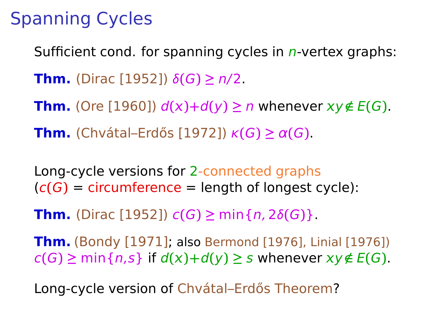# Spanning Cycles

Sufficient cond. for spanning cycles in  $n$ -vertex graphs: **Thm.** (Dirac [1952])  $δ(G) ≥ n/2$ . **Thm.** (Ore [1960])  $d(x)+d(y) \ge n$  whenever  $xy \notin E(G)$ . **Thm.** (Chvátal–Erdős [1972])  $\kappa(G) \geq \alpha(G)$ .

Long-cycle versions for 2-connected graphs  $(c(G))$  = circumference = length of longest cycle):

**Thm.** (Dirac [1952])  $c(G) \geq \min\{n, 2\delta(G)\}.$ 

**Thm.** (Bondy [1971]; also Bermond [1976], Linial [1976])  $c(G) \geq \min\{n, s\}$  if  $d(x)+d(y) \geq s$  whenever  $xy \notin E(G)$ .

Long-cycle version of Chvátal–Erdős Theorem?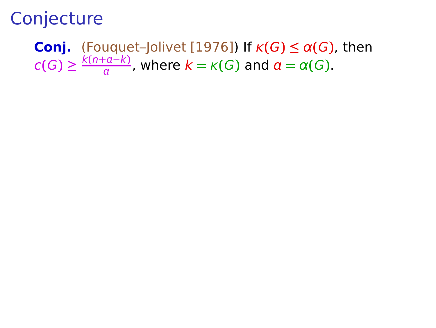#### **Conj.** (Fouquet–Jolivet [1976]) If  $\kappa(G) \leq \alpha(G)$ , then  $c(G) \geq \frac{k(n+a-k)}{a}$  $\frac{\alpha - \kappa}{a}$ , where  $k = \kappa(G)$  and  $a = \alpha(G)$ .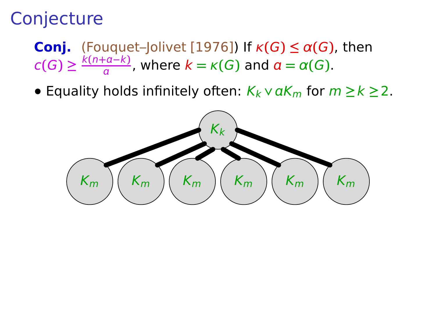- **Conj.** (Fouquet–Jolivet [1976]) If  $\kappa(G) \leq \alpha(G)$ , then  $c(G) \geq \frac{k(n+a-k)}{a}$  $\frac{\alpha - \kappa}{a}$ , where  $k = \kappa(G)$  and  $a = \alpha(G)$ .
- **•** Equality holds infinitely often:  $K_k \vee \alpha K_m$  for  $m \ge k \ge 2$ .

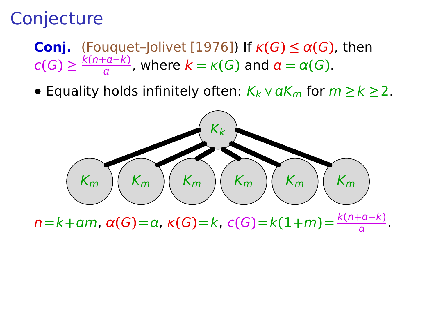**Conj.** (Fouquet–Jolivet [1976]) If  $\kappa(G) \leq \alpha(G)$ , then  $c(G) \geq \frac{k(n+a-k)}{a}$  $\frac{\alpha - \kappa}{a}$ , where  $k = \kappa(G)$  and  $a = \alpha(G)$ .

**•** Equality holds infinitely often:  $K_k \vee \alpha K_m$  for  $m \ge k \ge 2$ .



 $n = k + am$ ,  $\alpha(G) = a$ ,  $\kappa(G) = k$ ,  $c(G) = k(1 + m) = \frac{k(n+a-k)}{a}$ .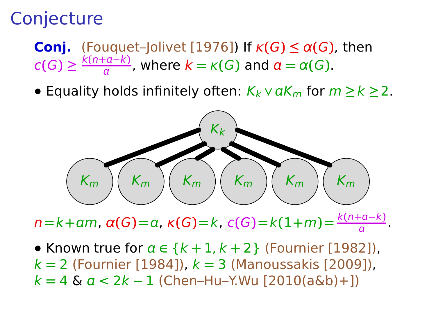**Conj.** (Fouquet–Jolivet [1976]) If  $\kappa(G) \leq \alpha(G)$ , then  $c(G) \geq \frac{k(n+a-k)}{a}$  $\frac{\alpha - \kappa}{a}$ , where  $k = \kappa(G)$  and  $a = \alpha(G)$ .

**•** Equality holds infinitely often:  $K_k \vee \alpha K_m$  for  $m \ge k \ge 2$ .



 $n = k + am$ ,  $\alpha(G) = a$ ,  $\kappa(G) = k$ ,  $c(G) = k(1 + m) = \frac{k(n+a-k)}{a}$ .

**•** Known true for **∈** {k **+** 1, k **+** 2} (Fournier [1982]), k **=** 2 (Fournier [1984]), k **=** 3 (Manoussakis [2009]), k **=** 4 & < 2k **−** 1 (Chen–Hu–Y.Wu [2010(a&b)+])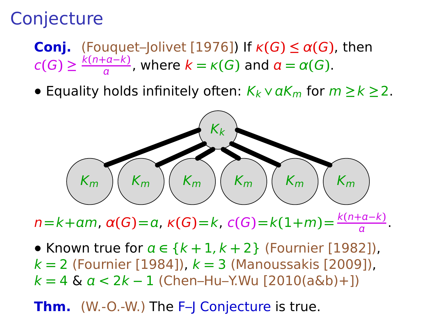**Conj.** (Fouquet–Jolivet [1976]) If  $\kappa(G) \leq \alpha(G)$ , then  $c(G) \geq \frac{k(n+a-k)}{a}$  $\frac{\alpha - \kappa}{a}$ , where  $k = \kappa(G)$  and  $a = \alpha(G)$ .

**•** Equality holds infinitely often:  $K_k \vee \alpha K_m$  for  $m \ge k \ge 2$ .



 $n = k + am$ ,  $\alpha(G) = a$ ,  $\kappa(G) = k$ ,  $c(G) = k(1 + m) = \frac{k(n+a-k)}{a}$ .

**•** Known true for **∈** {k **+** 1, k **+** 2} (Fournier [1982]), k **=** 2 (Fournier [1984]), k **=** 3 (Manoussakis [2009]), k **=** 4 & < 2k **−** 1 (Chen–Hu–Y.Wu [2010(a&b)+])

**Thm.** (W.-O.-W.) The F-J Conjecture is true.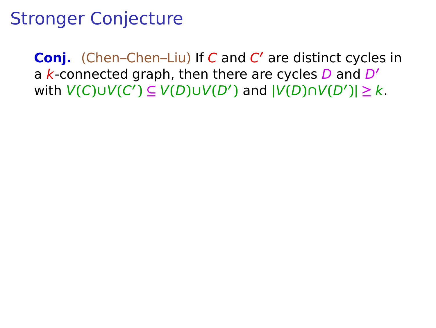**Conj.** (Chen–Chen–Liu) If C and C **′** are distinct cycles in a k-connected graph, then there are cycles D and D**′**  $V(C) \cup V(C') \subseteq V(D) \cup V(D')$  and  $|V(D) \cap V(D')| \geq k$ .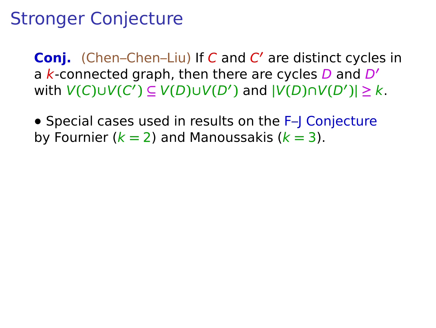**Conj.** (Chen–Chen–Liu) If C and C **′** are distinct cycles in a k-connected graph, then there are cycles D and D**′**  $V(C) \cup V(C') \subseteq V(D) \cup V(D')$  and  $|V(D) \cap V(D')| \geq k$ .

**•** Special cases used in results on the F–J Conjecture by Fournier (k **=** 2) and Manoussakis (k **=** 3).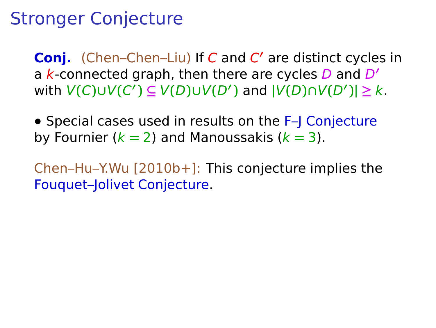**Conj.** (Chen–Chen–Liu) If C and C **′** are distinct cycles in a k-connected graph, then there are cycles D and D**′**  $V(C) \cup V(C') \subseteq V(D) \cup V(D')$  and  $|V(D) \cap V(D')| \geq k$ .

**•** Special cases used in results on the F–J Conjecture by Fournier (k **=** 2) and Manoussakis (k **=** 3).

Chen–Hu–Y.Wu [2010b+]: This conjecture implies the Fouquet–Jolivet Conjecture.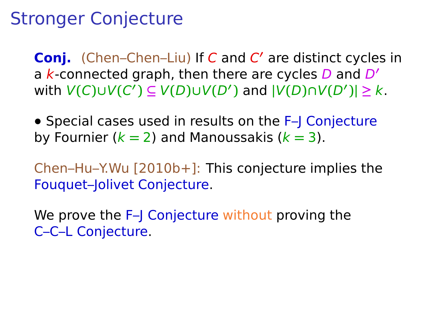**Conj.** (Chen–Chen–Liu) If C and C **′** are distinct cycles in a k-connected graph, then there are cycles D and D**′**  $V(C) \cup V(C') \subseteq V(D) \cup V(D')$  and  $|V(D) \cap V(D')| \geq k$ .

**•** Special cases used in results on the F–J Conjecture by Fournier (k **=** 2) and Manoussakis (k **=** 3).

Chen–Hu–Y.Wu [2010b+]: This conjecture implies the Fouquet–Jolivet Conjecture.

We prove the F–J Conjecture without proving the C–C–L Conjecture.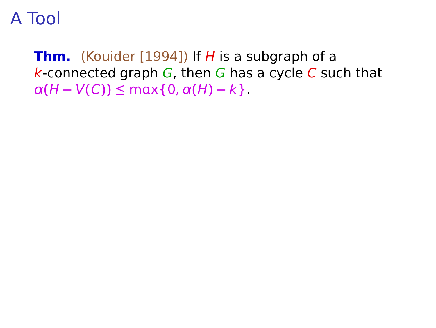**Thm.** (Kouider [1994]) If H is a subgraph of a  $k$ -connected graph  $G$ , then G has a cycle C such that  $\alpha(H - V(C)) \leq \max\{0, \alpha(H) - k\}.$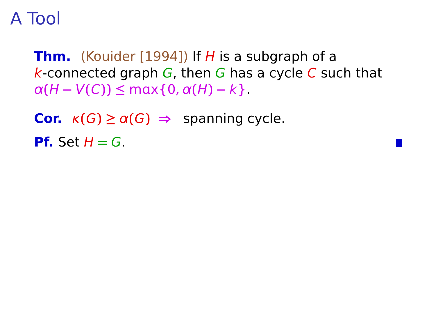**Thm.** (Kouider [1994]) If H is a subgraph of a  $k$ -connected graph  $G$ , then G has a cycle C such that  $\alpha(H - V(C)) \leq \max\{0, \alpha(H) - k\}.$ 

**Cor.**  $\kappa(G) \ge \alpha(G) \Rightarrow$  spanning cycle. **Pf.** Set  $H = G$ .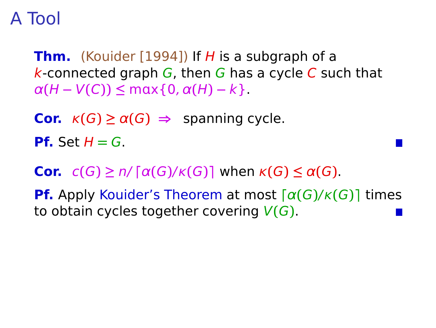**Thm.** (Kouider [1994]) If H is a subgraph of a k-connected graph  $G$ , then G has a cycle C such that  $\alpha(H - V(C)) \leq \max\{0, \alpha(H) - k\}.$ 

**Cor.**  $\kappa(G) \ge \alpha(G) \Rightarrow$  spanning cycle.

**Pf.** Set  $H = G$ .

**Cor.**  $c(G) \ge n / \lceil \alpha(G)/\kappa(G) \rceil$  when  $\kappa(G) \le \alpha(G)$ .

**Pf.** Apply Kouider's Theorem at most **⌈**α**(**G**)**/κ**(**G**)⌉** times to obtain cycles together covering V**(**G**)**.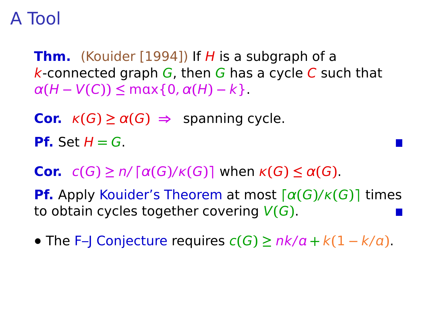**Thm.** (Kouider [1994]) If H is a subgraph of a k-connected graph  $G$ , then G has a cycle C such that  $\alpha(H - V(C)) \leq \max\{0, \alpha(H) - k\}.$ 

**Cor.**  $\kappa(G) \ge \alpha(G) \Rightarrow$  spanning cycle.

**Pf.** Set  $H = G$ .

**Cor.**  $c(G) \ge n / \lceil \alpha(G)/\kappa(G) \rceil$  when  $\kappa(G) \le \alpha(G)$ .

**Pf.** Apply Kouider's Theorem at most **⌈**α**(**G**)**/κ**(**G**)⌉** times to obtain cycles together covering V**(**G**)**.

**•** The F–I Conjecture requires  $c(G) \geq \frac{nk}{a} + \frac{k(1 - k/a)}{a}$ .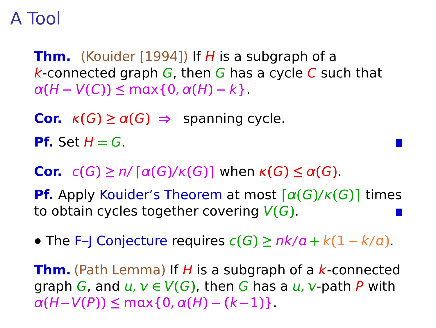**Thm.** (Kouider [1994]) If H is a subgraph of a k-connected graph  $G$ , then G has a cycle C such that  $\alpha(H - V(C)) \leq \max\{0, \alpha(H) - k\}.$ 

**Cor.**  $\kappa(G) \ge \alpha(G) \Rightarrow$  spanning cycle.

**Pf.** Set  $H = G$ .

**Cor.**  $c(G) \ge n / \lceil \alpha(G)/\kappa(G) \rceil$  when  $\kappa(G) \le \alpha(G)$ .

**Pf.** Apply Kouider's Theorem at most **⌈**α**(**G**)**/κ**(**G**)⌉** times to obtain cycles together covering V**(**G**)**.

**•** The F–J Conjecture requires  $c(G) \geq \frac{nk}{a} + \frac{k(1 - k/a)}{a}$ .

**Thm.** (Path Lemma) If H is a subgraph of a k-connected graph G, and  $u, v \in V(G)$ , then G has a  $u, v$ -path P with  $\alpha(H-V(P)) \leq \max\{0, \alpha(H) - (k-1)\}.$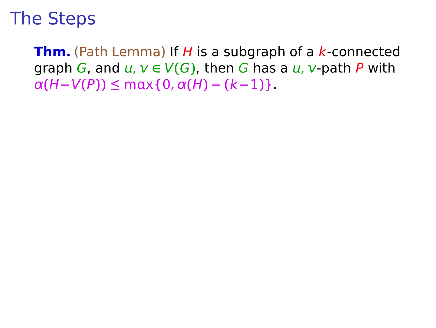**Thm.** (Path Lemma) If H is a subgraph of a k-connected graph G, and  $u, v \in V(G)$ , then G has a  $u, v$ -path P with  $\alpha(H-V(P)) \leq \max\{0, \alpha(H) - (k-1)\}.$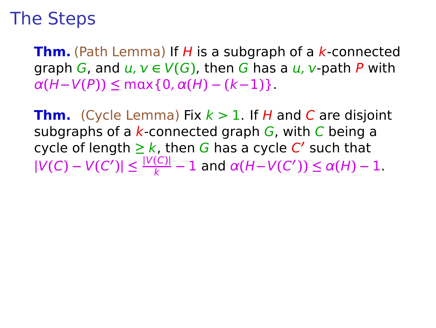**Thm.** (Path Lemma) If H is a subgraph of a k-connected graph G, and  $u, v \in V(G)$ , then G has a  $u, v$ -path P with  $\alpha(H-V(P)) \leq \max\{0, \alpha(H) - (k-1)\}.$ 

**Thm.** (Cycle Lemma) Fix  $k > 1$ . If H and C are disjoint subgraphs of a  $k$ -connected graph  $G$ , with C being a cycle of length **≥** k, then G has a cycle C **′** such that  $|V(C) - V(C')|$  ≤  $\frac{|V(C)|}{k} - 1$  and  $\alpha(H - V(C'))$  ≤  $\alpha(H) - 1$ .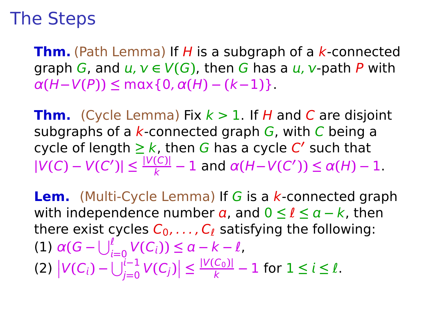**Thm.** (Path Lemma) If H is a subgraph of a k-connected graph G, and  $u, v \in V(G)$ , then G has a  $u, v$ -path P with  $\alpha(H-V(P)) \leq \max\{0, \alpha(H) - (k-1)\}.$ 

**Thm.** (Cycle Lemma) Fix  $k > 1$ . If H and C are disjoint subgraphs of a  $k$ -connected graph  $G$ , with C being a cycle of length **≥** k, then G has a cycle C **′** such that  $|V(C) - V(C')|$  ≤  $\frac{|V(C)|}{k} - 1$  and  $\alpha(H - V(C'))$  ≤  $\alpha(H) - 1$ .

**Lem.** (Multi-Cycle Lemma) If G is a k-connected graph with independence number  $\alpha$ , and  $0 \leq \ell \leq \alpha - k$ , then there exist cycles  $C_0, \ldots, C_{\ell}$  satisfying the following: **(1)**  $\alpha(G - \bigcup_{i=0}^{l} V(C_i)) \leq \alpha - k - l$ ,  $|V(C_i) - \bigcup_{j=0}^{i-1} V(C_j)| \leq \frac{|V(C_0)|}{k}$  $\frac{C_{0}I_{i}}{k}$  – 1 for  $1 \leq i \leq l$ .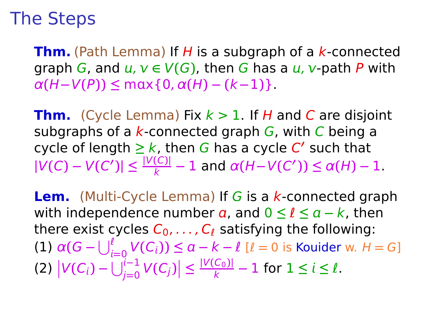**Thm.** (Path Lemma) If H is a subgraph of a k-connected graph G, and  $u, v \in V(G)$ , then G has a  $u, v$ -path P with  $\alpha(H-V(P)) \leq \max\{0, \alpha(H) - (k-1)\}.$ 

**Thm.** (Cycle Lemma) Fix  $k > 1$ . If H and C are disjoint subgraphs of a  $k$ -connected graph  $G$ , with C being a cycle of length **≥** k, then G has a cycle C **′** such that  $|V(C) - V(C')|$  ≤  $\frac{|V(C)|}{k} - 1$  and  $\alpha(H - V(C'))$  ≤  $\alpha(H) - 1$ .

**Lem.** (Multi-Cycle Lemma) If G is a k-connected graph with independence number  $\alpha$ , and  $0 \leq \ell \leq \alpha - k$ , then there exist cycles  $C_0, \ldots, C_{\ell}$  satisfying the following:  $\alpha(G - \bigcup_{i=0}^{\ell} V(C_i)) \leq a - k - \ell \, [\ell = 0 \text{ is Kouider w. } H = G]$  $|V(C_i) - \bigcup_{j=0}^{i-1} V(C_j)| \leq \frac{|V(C_0)|}{k}$  $\frac{C_{0}I_{i}}{k}$  – 1 for  $1 \leq i \leq l$ .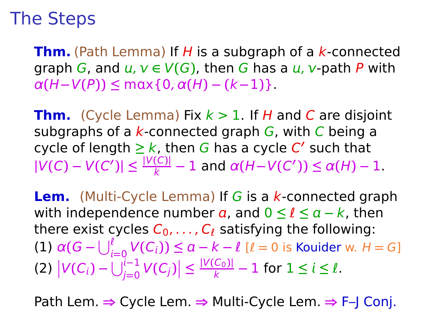**Thm.** (Path Lemma) If H is a subgraph of a k-connected graph G, and  $u, v \in V(G)$ , then G has a  $u, v$ -path P with  $\alpha(H-V(P)) \leq \max\{0, \alpha(H) - (k-1)\}.$ 

**Thm.** (Cycle Lemma) Fix  $k > 1$ . If H and C are disjoint subgraphs of a  $k$ -connected graph  $G$ , with C being a cycle of length **≥** k, then G has a cycle C **′** such that  $|V(C) - V(C')|$  ≤  $\frac{|V(C)|}{k} - 1$  and  $\alpha(H - V(C'))$  ≤  $\alpha(H) - 1$ .

**Lem.** (Multi-Cycle Lemma) If G is a k-connected graph with independence number  $\alpha$ , and  $0 \leq \ell \leq \alpha - k$ , then there exist cycles  $C_0, \ldots, C_{\ell}$  satisfying the following:  $\alpha(G - \bigcup_{i=0}^{\ell} V(C_i)) \leq a - k - \ell \, [\ell = 0 \text{ is Kouider w. } H = G]$  $|V(C_i) - \bigcup_{j=0}^{i-1} V(C_j)| \leq \frac{|V(C_0)|}{k}$  $\frac{C_{0}I_{i}}{k}$  – 1 for  $1 \leq i \leq l$ .

Path Lem. **⇒** Cycle Lem. **⇒** Multi-Cycle Lem. **⇒** F–J Conj.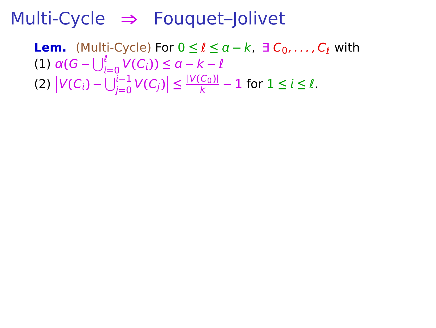**Lem.** (Multi-Cycle) For  $0 \le l \le a - k$ ,  $\exists C_0, \ldots, C_l$  with **(1)**  $\alpha(G - \bigcup_{i=0}^{l} V(C_i)) \leq \alpha - k - l$ **=**0  $|V(C_i) - \bigcup_{j=0}^{i-1} V(C_j)| \leq \frac{|V(C_0)|}{k} - 1$  for  $1 \leq i \leq l$ .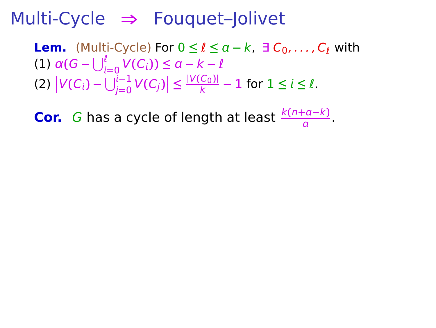**Lem.** (Multi-Cycle) For  $0 \le l \le a - k$ ,  $\exists C_0, \ldots, C_l$  with **(1)**  $\alpha(G - \bigcup_{i=0}^{l} V(C_i)) \leq \alpha - k - l$ **=**0  $|V(C_i) - \bigcup_{j=0}^{i-1} V(C_j)| \leq \frac{|V(C_0)|}{k} - 1$  for  $1 \leq i \leq l$ .

**Cor.** G has a cycle of length at least  $\frac{k(n+a-k)}{a}$ .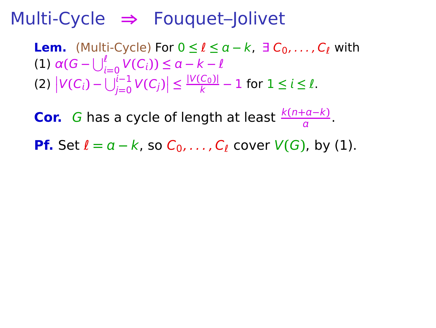**Lem.** (Multi-Cycle) For  $0 \le l \le a-k$ ,  $\exists C_0, \ldots, C_l$  with **(1)**  $\alpha(G - \bigcup_{i=0}^{l} V(C_i)) \leq \alpha - k - l$ **=**0  $|V(C_i) - \bigcup_{j=0}^{i-1} V(C_j)| \leq \frac{|V(C_0)|}{k} - 1$  for  $1 \leq i \leq l$ .

**Cor.** G has a cycle of length at least  $\frac{k(n+a-k)}{a}$ .

**Pf.** Set  $l = a - k$ , so  $C_0, \ldots, C_l$  cover  $V(G)$ , by (1).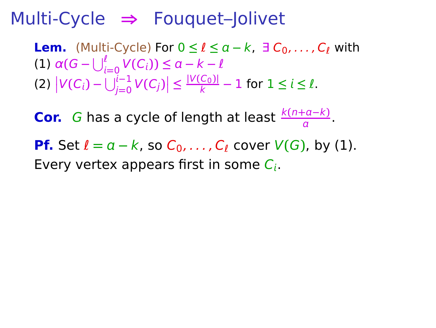**Lem.** (Multi-Cycle) For  $0 \le l \le a-k$ ,  $\exists C_0, \ldots, C_l$  with **(1)**  $\alpha(G - \bigcup_{i=0}^{l} V(C_i)) \leq \alpha - k - l$  $|V(C_i) - \bigcup_{j=0}^{i-1} V(C_j)| \leq \frac{|V(C_0)|}{k} - 1$  for  $1 \leq i \leq l$ .

**Cor.** G has a cycle of length at least  $\frac{k(n+a-k)}{a}$ .

**Pf.** Set  $\ell = a - k$ , so  $C_0, \ldots, C_\ell$  cover  $V(G)$ , by (1). Every vertex appears first in some  $C_i$ .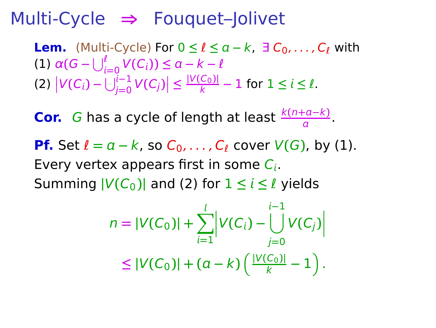**Lem.** (Multi-Cycle) For  $0 \le l \le a-k$ ,  $\exists C_0, \ldots, C_l$  with **(1)**  $\alpha(G - \bigcup_{i=0}^{l} V(C_i)) \leq \alpha - k - l$ **=**0  $|V(C_i) - \bigcup_{j=0}^{i-1} V(C_j)| \leq \frac{|V(C_0)|}{k} - 1$  for  $1 \leq i \leq l$ .

**Cor.** G has a cycle of length at least  $\frac{k(n+a-k)}{a}$ . **Pf.** Set  $\ell = a - k$ , so  $C_0, \ldots, C_\ell$  cover  $V(G)$ , by (1). Every vertex appears first in some  $C_i$ . Summing  $|V(C_0)|$  and (2) for  $1 \le i \le \ell$  yields

$$
n = |V(C_0)| + \sum_{i=1}^l \left| V(C_i) - \bigcup_{j=0}^{i-1} V(C_j) \right|
$$
  
\$\leq |V(C\_0)| + (a - k) \left( \frac{|V(C\_0)|}{k} - 1 \right)\$.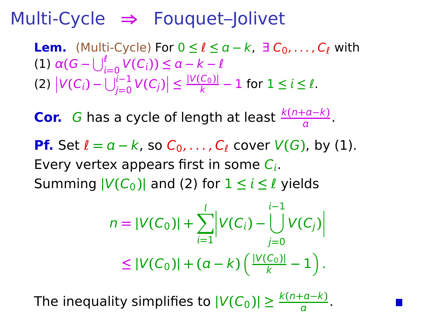**Lem.** (Multi-Cycle) For  $0 \le l \le a-k$ ,  $\exists C_0, \ldots, C_l$  with **(1)**  $\alpha(G - \bigcup_{i=0}^{l} V(C_i)) \leq \alpha - k - l$ **=**0  $|V(C_i) - \bigcup_{j=0}^{i-1} V(C_j)| \leq \frac{|V(C_0)|}{k} - 1$  for  $1 \leq i \leq l$ .

**Cor.** G has a cycle of length at least  $\frac{k(n+a-k)}{a}$ . **Pf.** Set  $l = a - k$ , so  $C_0, \ldots, C_\ell$  cover  $V(G)$ , by (1). Every vertex appears first in some  $C_i$ . Summing  $|V(C_0)|$  and (2) for  $1 \le i \le \ell$  yields

$$
n = |V(C_0)| + \sum_{i=1}^l \left| V(C_i) - \bigcup_{j=0}^{i-1} V(C_j) \right|
$$
  
\$\leq |V(C\_0)| + (a - k) \left( \frac{|V(C\_0)|}{k} - 1 \right)\$.

The inequality simplifies to  $|V(C_0)| \geq \frac{k(n+a-k)}{a}$ .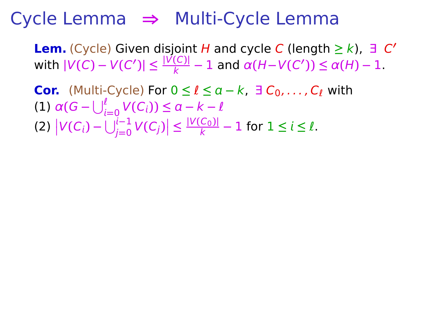**Lem.** (Cycle) Given disjoint H and cycle C (length **≥** k), ∃ C **′**  $|V(C) - V(C')| \leq \frac{|V(C)|}{k} - 1$  and  $\alpha(H - V(C')) \leq \alpha(H) - 1$ .

**Cor.** (Multi-Cycle) For  $0 \le l \le a - k$ ,  $\exists C_0, \ldots, C_l$  with **(1)**  $\alpha(G - \bigcup_{i=0}^{l} V(C_i)) \leq \alpha - k - l$  $|V(C_i) - \bigcup_{j=0}^{i-1} V(C_j)| \leq \frac{|V(C_0)|}{k} - 1$  for  $1 \leq i \leq l$ .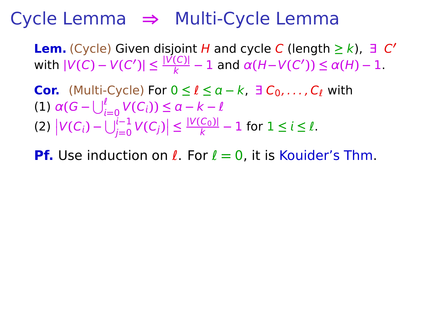**Lem.** (Cycle) Given disjoint H and cycle C (length **≥** k), ∃ C **′**  $|V(C) - V(C')| \leq \frac{|V(C)|}{k} - 1$  and  $\alpha(H - V(C')) \leq \alpha(H) - 1$ .

**Cor.** (Multi-Cycle) For  $0 \le l \le a - k$ ,  $\exists C_0, \ldots, C_l$  with **(1)**  $\alpha(G - \bigcup_{i=0}^{l} V(C_i)) \leq \alpha - k - l$  $|V(C_i) - \bigcup_{j=0}^{i-1} V(C_j)| \leq \frac{|V(C_0)|}{k} - 1$  for  $1 \leq i \leq l$ .

**Pf.** Use induction on ℓ. For ℓ **=** 0, it is Kouider's Thm.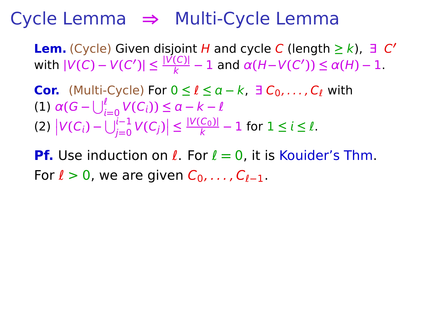**Lem.** (Cycle) Given disjoint H and cycle C (length **≥** k), ∃ C **′**  $|V(C) - V(C')| \leq \frac{|V(C)|}{k} - 1$  and  $\alpha(H - V(C')) \leq \alpha(H) - 1$ .

**Cor.** (Multi-Cycle) For  $0 \le l \le a - k$ ,  $\exists C_0, \ldots, C_l$  with **(1)**  $\alpha(G - \bigcup_{i=0}^{l} V(C_i)) \leq \alpha - k - l$  $|V(C_i) - \bigcup_{j=0}^{i-1} V(C_j)| \leq \frac{|V(C_0)|}{k} - 1$  for  $1 \leq i \leq l$ .

**Pf.** Use induction on ℓ. For ℓ **=** 0, it is Kouider's Thm. For *ℓ* > 0, we are given  $C_0, \ldots, C_{\ell-1}$ .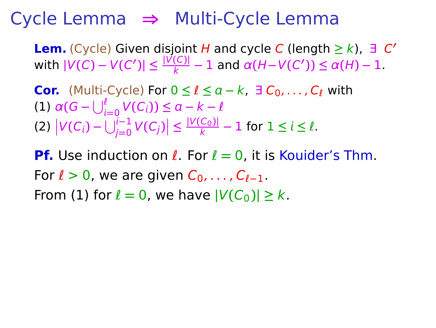**Lem.** (Cycle) Given disjoint H and cycle C (length **≥** k), ∃ C **′**  $|V(C) - V(C')| \leq \frac{|V(C)|}{k} - 1$  and  $\alpha(H - V(C')) \leq \alpha(H) - 1$ .

**Cor.** (Multi-Cycle) For  $0 \le l \le a - k$ ,  $\exists C_0, \ldots, C_l$  with **(1)**  $\alpha(G - \bigcup_{i=0}^{l} V(C_i)) \leq \alpha - k - l$  $|V(C_i) - \bigcup_{j=0}^{i-1} V(C_j)| \leq \frac{|V(C_0)|}{k} - 1$  for  $1 \leq i \leq l$ .

**Pf.** Use induction on ℓ. For ℓ **=** 0, it is Kouider's Thm. For ℓ > 0, we are given C0, . . . , Cℓ**−**1. From (1) for  $l = 0$ , we have  $|V(C_0)| \geq k$ .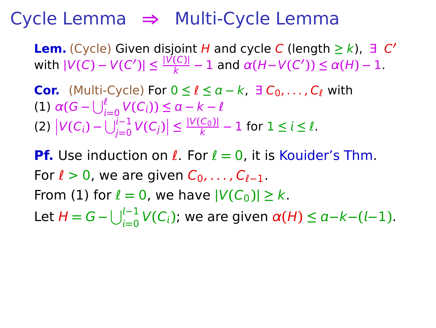**Lem.** (Cycle) Given disjoint H and cycle C (length **≥** k), ∃ C **′**  $|V(C) - V(C')| \leq \frac{|V(C)|}{k} - 1$  and  $\alpha(H - V(C')) \leq \alpha(H) - 1$ .

**Cor.** (Multi-Cycle) For  $0 \le l \le a-k$ ,  $\exists C_0, \ldots, C_l$  with **(1)**  $\alpha(G - \bigcup_{i=0}^{l} V(C_i)) \leq \alpha - k - l$  $|V(C_i) - \bigcup_{j=0}^{i-1} V(C_j)| \leq \frac{|V(C_0)|}{k} - 1$  for  $1 \leq i \leq l$ .

**Pf.** Use induction on ℓ. For ℓ **=** 0, it is Kouider's Thm. For ℓ > 0, we are given C0, . . . , Cℓ**−**1. From (1) for  $l = 0$ , we have  $|V(C_0)| \geq k$ . Let  $H = G - \bigcup_{i=0}^{l-1} V(C_i)$ ; we are given  $\alpha(H) \le a - k - (l-1)$ .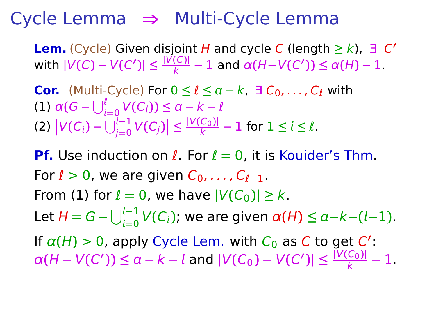**Lem.** (Cycle) Given disjoint H and cycle C (length **≥** k), ∃ C **′**  $|V(C) - V(C')| \leq \frac{|V(C)|}{k} - 1$  and  $\alpha(H - V(C')) \leq \alpha(H) - 1$ .

**Cor.** (Multi-Cycle) For  $0 \le l \le a - k$ ,  $\exists C_0, \ldots, C_l$  with **(1)**  $\alpha(G - \bigcup_{i=0}^{l} V(C_i)) \leq \alpha - k - l$  $|V(C_i) - \bigcup_{j=0}^{i-1} V(C_j)| \leq \frac{|V(C_0)|}{k} - 1$  for  $1 \leq i \leq l$ .

**Pf.** Use induction on ℓ. For ℓ **=** 0, it is Kouider's Thm. For ℓ > 0, we are given C0, . . . , Cℓ**−**1. From (1) for  $l = 0$ , we have  $|V(C_0)| \geq k$ . Let  $H = G - \bigcup_{i=0}^{l-1} V(C_i)$ ; we are given  $\alpha(H) \le a - k - (l-1)$ . If  $\alpha(H) > 0$ , apply Cycle Lem. with  $C_0$  as C to get C':  $\alpha(H - V(C')) \le a - k - l$  and  $|V(C_0) - V(C')| \le \frac{|V(C_0)|}{k} - 1$ .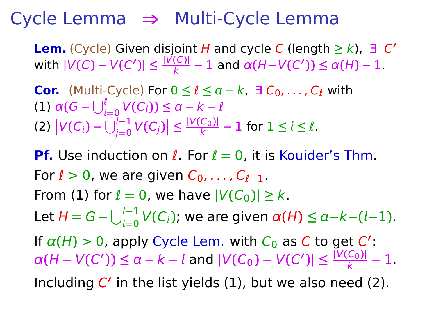**Lem.** (Cycle) Given disjoint H and cycle C (length **≥** k), ∃ C **′**  $|V(C) - V(C')| \leq \frac{|V(C)|}{k} - 1$  and  $\alpha(H - V(C')) \leq \alpha(H) - 1$ .

**Cor.** (Multi-Cycle) For  $0 \le l \le a-k$ ,  $\exists C_0, \ldots, C_l$  with **(1)**  $\alpha(G - \bigcup_{i=0}^{l} V(C_i)) \leq \alpha - k - l$  $|V(C_i) - \bigcup_{j=0}^{i-1} V(C_j)| \leq \frac{|V(C_0)|}{k} - 1$  for  $1 \leq i \leq l$ .

**Pf.** Use induction on ℓ. For ℓ **=** 0, it is Kouider's Thm. For  $\ell > 0$ , we are given  $C_0, \ldots, C_{\ell-1}$ . From (1) for  $l = 0$ , we have  $|V(C_0)| \geq k$ . Let  $H = G - \bigcup_{i=0}^{l-1} V(C_i)$ ; we are given  $\alpha(H) \le a - k - (l-1)$ . If  $\alpha(H) > 0$ , apply Cycle Lem. with  $C_0$  as C to get C':  $\alpha(H - V(C')) \le a - k - l$  and  $|V(C_0) - V(C')| \le \frac{|V(C_0)|}{k} - 1$ . Including C' in the list yields (1), but we also need (2).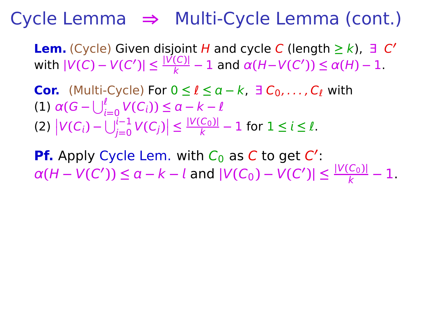**Lem.** (Cycle) Given disjoint H and cycle C (length **≥** k), ∃ C **′**  $|V(C) - V(C')| \leq \frac{|V(C)|}{k} - 1$  and  $\alpha(H - V(C')) \leq \alpha(H) - 1$ .

**Cor.** (Multi-Cycle) For  $0 \le l \le a - k$ ,  $\exists C_0, \ldots, C_l$  with **(1)**  $\alpha(G - \bigcup_{i=0}^{l} V(C_i)) \leq \alpha - k - l$  $|V(C_i) - \bigcup_{j=0}^{i-1} V(C_j)| \leq \frac{|V(C_0)|}{k} - 1$  for  $1 \leq i \leq l$ .

**Pf.** Apply Cycle Lem. with C<sub>0</sub> as C to get C':  $\alpha(H - V(C')) \le a - k - l$  and  $|V(C_0) - V(C')| \le \frac{|V(C_0)|}{k} - 1$ .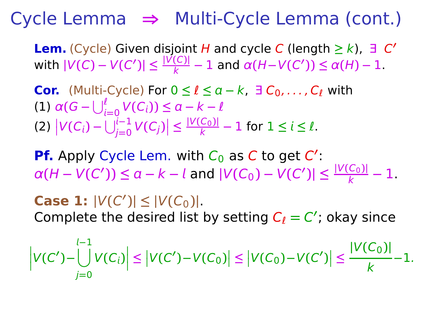**Lem.** (Cycle) Given disjoint H and cycle C (length **≥** k), ∃ C **′**  $|V(C) - V(C')| \leq \frac{|V(C)|}{k} - 1$  and  $\alpha(H - V(C')) \leq \alpha(H) - 1$ .

**Cor.** (Multi-Cycle) For  $0 \le l \le a-k$ ,  $\exists C_0, \ldots, C_l$  with **(1)**  $\alpha(G - \bigcup_{i=0}^{l} V(C_i)) \leq \alpha - k - l$  $|V(C_i) - \bigcup_{j=0}^{i-1} V(C_j)| \leq \frac{|V(C_0)|}{k} - 1$  for  $1 \leq i \leq l$ .

**Pf.** Apply Cycle Lem. with C<sub>0</sub> as C to get C':  $\alpha(H - V(C')) \le a - k - l$  and  $|V(C_0) - V(C')| \le \frac{|V(C_0)|}{k} - 1$ .

**Case 1:**  $|V(C')| \leq |V(C_0)|$ . Complete the desired list by setting  $C_{\ell} = C'$ ; okay since

 <sup>V</sup>**(**<sup>C</sup> **′ )−**  $\left| \bigcup_{i=1}^{l-1} V(C_i) \right| \leq \left| V(C') - V(C_0) \right| \leq \left| V(C_0) - V(C') \right| \leq$ j**=**0 **|**V**(**C0**)|** k **−**1.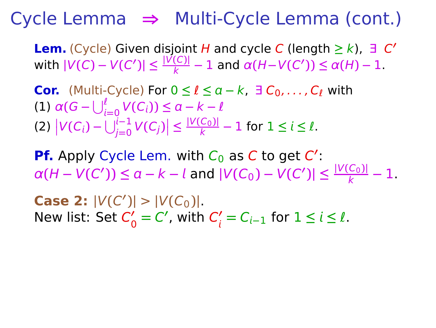**Lem.** (Cycle) Given disjoint H and cycle C (length **≥** k), ∃ C **′**  $|V(C) - V(C')| \leq \frac{|V(C)|}{k} - 1$  and  $\alpha(H - V(C')) \leq \alpha(H) - 1$ .

**Cor.** (Multi-Cycle) For  $0 \le l \le a - k$ ,  $\exists C_0, \ldots, C_l$  with **(1)**  $\alpha(G - \bigcup_{i=0}^{l} V(C_i)) \leq \alpha - k - l$  $|V(C_i) - \bigcup_{j=0}^{i-1} V(C_j)| \leq \frac{|V(C_0)|}{k} - 1$  for  $1 \leq i \leq l$ .

**Pf.** Apply Cycle Lem. with C<sub>0</sub> as C to get C':  $\alpha(H - V(C')) \le a - k - l$  and  $|V(C_0) - V(C')| \le \frac{|V(C_0)|}{k} - 1$ .

**Case 2:**  $|V(C')| > |V(C_0)|$ . New list: Set C **′**  $C'_0 = C'$ , with  $C'_i$  $\frac{\prime}{i}$  = C<sub>*i*−1</sub> for 1 ≤ *i* ≤  $\ell$ .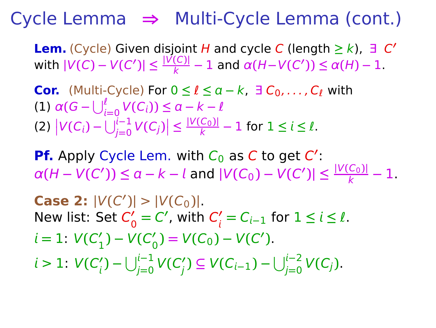**Lem.** (Cycle) Given disjoint H and cycle C (length **≥** k), ∃ C **′**  $|V(C) - V(C')| \leq \frac{|V(C)|}{k} - 1$  and  $\alpha(H - V(C')) \leq \alpha(H) - 1$ .

**Cor.** (Multi-Cycle) For  $0 \le l \le a-k$ ,  $\exists C_0, \ldots, C_l$  with **(1)**  $\alpha(G - \bigcup_{i=0}^{l} V(C_i)) \leq \alpha - k - l$  $|V(C_i) - \bigcup_{j=0}^{i-1} V(C_j)| \leq \frac{|V(C_0)|}{k} - 1$  for  $1 \leq i \leq l$ .

**Pf.** Apply Cycle Lem. with C<sub>0</sub> as C to get C':  $\alpha(H - V(C')) \le a - k - l$  and  $|V(C_0) - V(C')| \le \frac{|V(C_0)|}{k} - 1$ .

**Case 2:**  $|V(C')| > |V(C_0)|$ . New list: Set C **′**  $C'_0 = C'$ , with  $C'_i$  $\frac{\prime}{i}$  = C<sub>*i*−1</sub> for 1 ≤ *i* ≤  $\ell$ .  $i = 1: V(C'_{1})$ 1 **) −** V**(**C **′**  $V'_{0}$ ) =  $V(C_{0}) - V(C')$ .  $i > 1: V(C'_i)$ **′)** − ∪ $\bigcup_{j=0}^{i-1}$  **∨** (  $C'_j$  $y'$ **)** ⊆  $V(C_{i-1}) - \bigcup_{j=0}^{i-2} V(C_j)$ .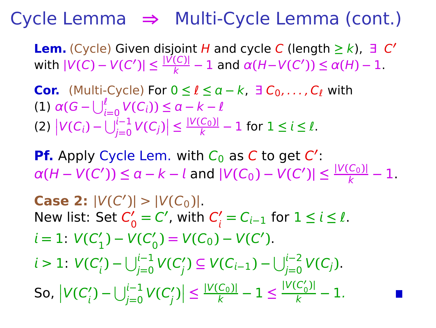**Lem.** (Cycle) Given disjoint H and cycle C (length **≥** k), ∃ C **′**  $|V(C) - V(C')| \leq \frac{|V(C)|}{k} - 1$  and  $\alpha(H - V(C')) \leq \alpha(H) - 1$ .

**Cor.** (Multi-Cycle) For  $0 \le l \le a-k$ ,  $\exists C_0, \ldots, C_l$  with **(1)**  $\alpha(G - \bigcup_{i=0}^{l} V(C_i)) \leq \alpha - k - l$  $|V(C_i) - \bigcup_{j=0}^{i-1} V(C_j)| \leq \frac{|V(C_0)|}{k} - 1$  for  $1 \leq i \leq l$ .

**Pf.** Apply Cycle Lem. with C<sub>0</sub> as C to get C':  $\alpha(H - V(C')) \le a - k - l$  and  $|V(C_0) - V(C')| \le \frac{|V(C_0)|}{k} - 1$ .

**Case 2:**  $|V(C')| > |V(C_0)|$ . New list: Set C **′**  $C'_0 = C'$ , with  $C'_i$  $\frac{\prime}{i}$  = C<sub>*i*−1</sub> for 1 ≤ *i* ≤  $\ell$ .  $i = 1: V(C'_{1})$ 1 **) −** V**(**C **′**  $V'_{0}$ ) =  $V(C_{0}) - V(C')$ .  $i > 1: V(C'_i)$ **′)** − ∪ $\bigcup_{j=0}^{i-1}$  **∨** (  $C'_j$  $y'$ **)** ⊆  $V(C_{i-1}) - \bigcup_{j=0}^{i-2} V(C_j)$ . So,  <sup>V</sup>**(**<sup>C</sup> **′** *(`)* **−** ∪ $\bigcup_{j=0}^{i-1}$  **∨** (  $C'_j$  $\left|\frac{V(C_0)}{k} - 1\right| \leq \frac{|V(C_0)|}{k} - 1.$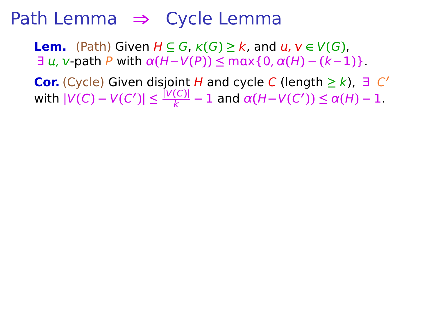**Lem.** (Path) Given  $H \subseteq G$ ,  $\kappa(G) \geq k$ , and  $u, v \in V(G)$ ,  $\exists u, v$ -path P with  $\alpha(H-V(P)) \le \max\{0, \alpha(H) - (k-1)\}.$ 

**Cor.** (Cycle) Given disjoint *H* and cycle *C* (length ≥  $k$ ),  $\exists$  *C'*  $|V(C) - V(C')| \leq \frac{|V(C)|}{k} - 1$  and  $\alpha(H - V(C')) \leq \alpha(H) - 1$ .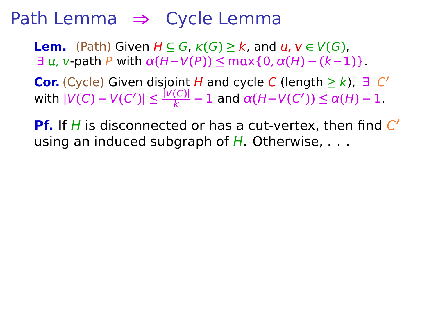**Lem.** (Path) Given  $H \subseteq G$ ,  $\kappa(G) \geq k$ , and  $u, v \in V(G)$ ,  $\exists u, v$ -path P with  $\alpha(H-V(P)) \le \max\{0, \alpha(H) - (k-1)\}.$ 

**Cor.** (Cycle) Given disjoint *H* and cycle *C* (length ≥  $k$ ),  $\exists$  *C'*  $|V(C) - V(C')| \leq \frac{|V(C)|}{k} - 1$  and  $\alpha(H - V(C')) \leq \alpha(H) - 1$ .

**Pf.** If H is disconnected or has a cut-vertex, then find C' using an induced subgraph of  $H$ . Otherwise,  $\dots$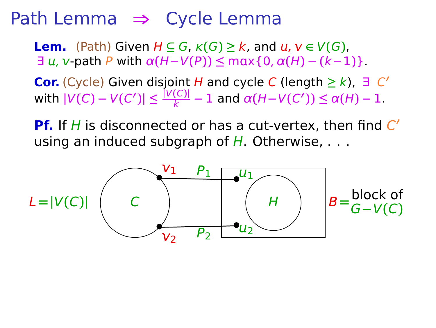**Lem.** (Path) Given  $H \subseteq G$ ,  $\kappa(G) \geq k$ , and  $u, v \in V(G)$ ,  $\exists u, v$ -path P with  $\alpha(H-V(P)) \le \max\{0, \alpha(H) - (k-1)\}.$ 

**Cor.** (Cycle) Given disjoint *H* and cycle *C* (length ≥  $k$ ),  $\exists$  *C'*  $|V(C) - V(C')| \leq \frac{|V(C)|}{k} - 1$  and  $\alpha(H - V(C')) \leq \alpha(H) - 1$ .

**Pf.** If H is disconnected or has a cut-vertex, then find C' using an induced subgraph of  $H$ . Otherwise,  $\dots$ 

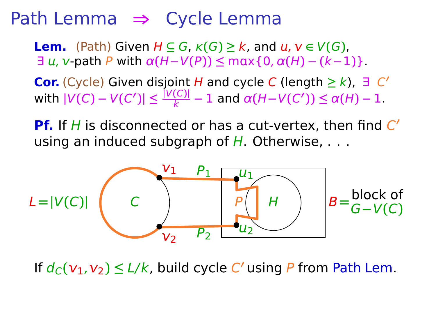**Lem.** (Path) Given  $H \subseteq G$ ,  $\kappa(G) \geq k$ , and  $u, v \in V(G)$ ,  $\exists u, v$ -path P with  $\alpha(H-V(P)) \le \max\{0, \alpha(H) - (k-1)\}.$ 

**Cor.** (Cycle) Given disjoint *H* and cycle *C* (length ≥  $k$ ),  $\exists$  *C'*  $|V(C) - V(C')| \leq \frac{|V(C)|}{k} - 1$  and  $\alpha(H - V(C')) \leq \alpha(H) - 1$ .

**Pf.** If H is disconnected or has a cut-vertex, then find C' using an induced subgraph of  $H$ . Otherwise,  $\dots$ 



If  $d_C(v_1, v_2) \leq L/k$ , build cycle C' using P from Path Lem.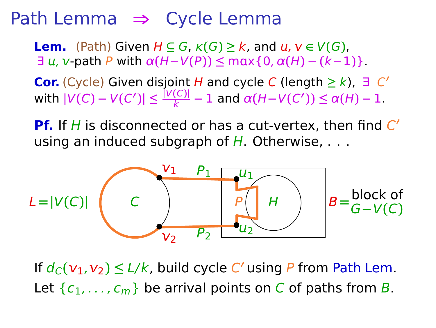**Lem.** (Path) Given  $H \subseteq G$ ,  $\kappa(G) \geq k$ , and  $u, v \in V(G)$ ,  $\exists u$ , v -path P with  $\alpha(H-V(P)) \le \max\{0, \alpha(H) - (k-1)\}.$ 

**Cor.** (Cycle) Given disjoint *H* and cycle *C* (length ≥  $k$ ),  $\exists$  *C'*  $|V(C) - V(C')| \leq \frac{|V(C)|}{k} - 1$  and  $\alpha(H - V(C')) \leq \alpha(H) - 1$ .

**Pf.** If H is disconnected or has a cut-vertex, then find C' using an induced subgraph of  $H$ . Otherwise,  $\dots$ 



If  $d_C(v_1, v_2) \leq L/k$ , build cycle C' using P from Path Lem. Let  $\{c_1, \ldots, c_m\}$  be arrival points on C of paths from B.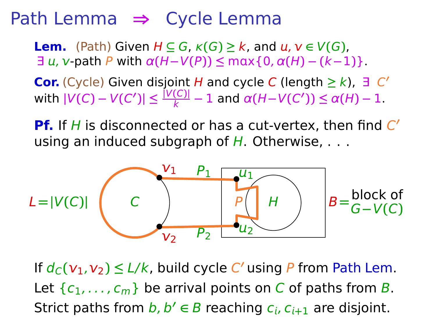**Lem.** (Path) Given  $H \subseteq G$ ,  $\kappa(G) \geq k$ , and  $u, v \in V(G)$ ,  $\exists u, v$ -path P with  $\alpha(H-V(P)) \le \max\{0, \alpha(H) - (k-1)\}.$ 

**Cor.** (Cycle) Given disjoint *H* and cycle *C* (length ≥  $k$ ),  $\exists$  *C'*  $|V(C) - V(C')| \leq \frac{|V(C)|}{k} - 1$  and  $\alpha(H - V(C')) \leq \alpha(H) - 1$ .

**Pf.** If H is disconnected or has a cut-vertex, then find C' using an induced subgraph of  $H$ . Otherwise,  $\dots$ 



If  $d_C(v_1, v_2) \leq L/k$ , build cycle C' using P from Path Lem. Let  $\{c_1, \ldots, c_m\}$  be arrival points on C of paths from B. Strict paths from  $b, b' \in B$  reaching  $c_i, c_{i+1}$  are disjoint.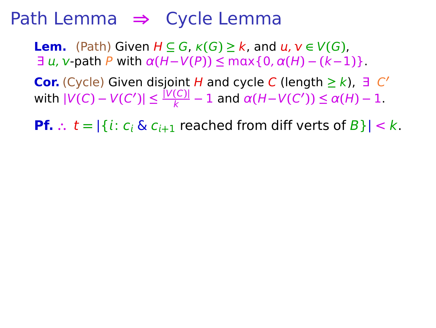**Lem.** (Path) Given  $H \subseteq G$ ,  $\kappa(G) \geq k$ , and  $u, v \in V(G)$ ,  $\exists u, v$ -path P with  $\alpha(H-V(P)) \le \max\{0, \alpha(H) - (k-1)\}.$ 

**Cor.** (Cycle) Given disjoint *H* and cycle *C* (length ≥  $k$ ),  $\exists$  *C'*  $|V(C) - V(C')| \leq \frac{|V(C)|}{k} - 1$  and  $\alpha(H - V(C')) \leq \alpha(H) - 1$ .

**Pf.**  $\therefore$   $t = |\{i : c_i \& c_{i+1} \text{ reached from diff } \text{verts of } B\}| < k.$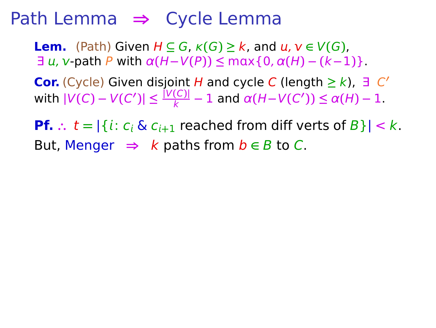**Lem.** (Path) Given  $H \subseteq G$ ,  $\kappa(G) \geq k$ , and  $u, v \in V(G)$ ,  $\exists u, v$ -path P with  $\alpha(H-V(P)) \le \max\{0, \alpha(H) - (k-1)\}.$ 

**Cor.** (Cycle) Given disjoint *H* and cycle *C* (length ≥  $k$ ),  $\exists$  *C'*  $|V(C) - V(C')| \leq \frac{|V(C)|}{k} - 1$  and  $\alpha(H - V(C')) \leq \alpha(H) - 1$ .

**Pf.**  $\therefore$   $t = |\{i : c_i \& c_{i+1} \text{ reached from diff vertex of } B\}| < k$ . But, Menger  $\Rightarrow$  k paths from  $b \in B$  to C.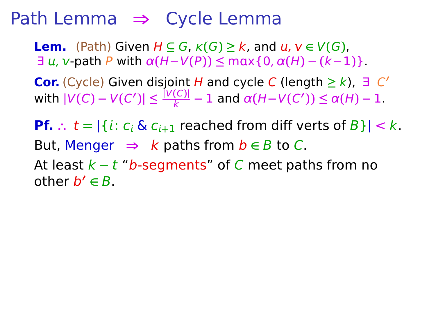**Lem.** (Path) Given  $H \subseteq G$ ,  $\kappa(G) \geq k$ , and  $u, v \in V(G)$ ,  $\exists u, v$ -path P with  $\alpha(H-V(P)) \le \max\{0, \alpha(H) - (k-1)\}.$ 

**Cor.** (Cycle) Given disjoint *H* and cycle *C* (length ≥  $k$ ),  $\exists$  *C'*  $|V(C) - V(C')| \leq \frac{|V(C)|}{k} - 1$  and  $\alpha(H - V(C')) \leq \alpha(H) - 1$ .

**Pf.**  $\therefore$   $t = |\{i : c_i \& c_{i+1} \text{ reached from diff vertex of } B\}| < k$ . But, Menger  $\Rightarrow$  k paths from  $b \in B$  to C.

At least k **−** t "b-segments" of C meet paths from no other b **′ ∈** B.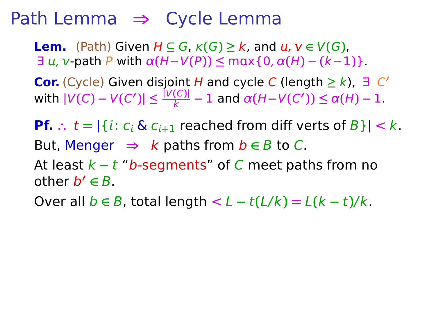**Lem.** (Path) Given  $H \subseteq G$ ,  $\kappa(G) \geq k$ , and  $u, v \in V(G)$ ,  $\exists u$ , v -path P with  $\alpha(H-V(P)) \le \max\{0, \alpha(H) - (k-1)\}.$ 

**Cor.** (Cycle) Given disjoint *H* and cycle *C* (length ≥  $k$ ),  $\exists$  *C'*  $|V(C) - V(C')| \leq \frac{|V(C)|}{k} - 1$  and  $\alpha(H - V(C')) \leq \alpha(H) - 1$ .

**Pf.**  $\therefore$   $t = |\{i : c_i \& c_{i+1} \text{ reached from diff vertex of } B\}| < k$ . But, Menger  $\Rightarrow$  k paths from  $b \in B$  to C. At least k **−** t "b-segments" of C meet paths from no other b **′ ∈** B.

Over all  $b \in B$ , total length  $\lt L - t(L/k) = L(k - t)/k$ .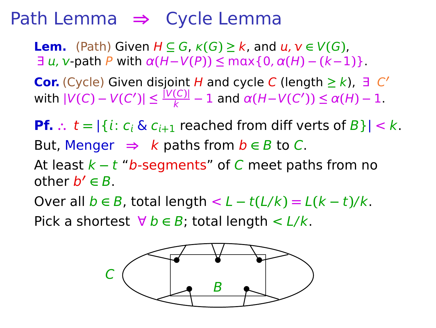**Lem.** (Path) Given  $H \subseteq G$ ,  $\kappa(G) \geq k$ , and  $u, v \in V(G)$ ,  $\exists u, v$ -path P with  $\alpha(H-V(P)) \le \max\{0, \alpha(H) - (k-1)\}.$ 

**Cor.** (Cycle) Given disjoint *H* and cycle *C* (length ≥  $k$ ),  $\exists$  *C'*  $|V(C) - V(C')| \leq \frac{|V(C)|}{k} - 1$  and  $\alpha(H - V(C')) \leq \alpha(H) - 1$ .

**Pf.**  $\therefore$   $t = |\{i : c_i \& c_{i+1} \text{ reached from diff vertex of } B\}| < k$ . But, Menger  $\Rightarrow$  k paths from  $b \in B$  to C. At least k **−** t "b-segments" of C meet paths from no other b **′ ∈** B.

Over all  $b \in B$ , total length  $\lt L - t(L/k) = L(k - t)/k$ .

Pick a shortest  $\forall b \in B$ ; total length  $\lt L/k$ .

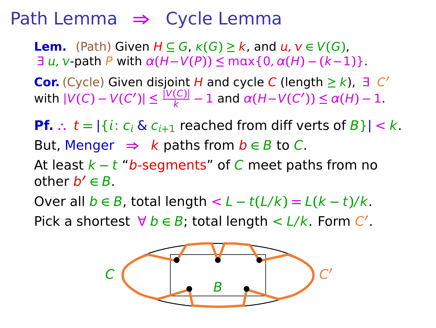**Lem.** (Path) Given  $H \subseteq G$ ,  $\kappa(G) \geq k$ , and  $u, v \in V(G)$ ,  $\exists u, v$ -path P with  $\alpha(H-V(P)) \le \max\{0, \alpha(H) - (k-1)\}.$ 

**Cor.** (Cycle) Given disjoint *H* and cycle *C* (length ≥  $k$ ),  $\exists$  *C'*  $|V(C) - V(C')| \leq \frac{|V(C)|}{k} - 1$  and  $\alpha(H - V(C')) \leq \alpha(H) - 1$ .

**Pf.**  $\therefore$   $t = |\{i : c_i \& c_{i+1} \text{ reached from diff vertex of } B\}| < k$ . But, Menger  $\Rightarrow$  k paths from  $b \in B$  to C. At least k **−** t "b-segments" of C meet paths from no other b **′ ∈** B.

Over all  $b \in B$ , total length  $\lt L - t(L/k) = L(k - t)/k$ .

Pick a shortest  $\forall b \in B$ ; total length <  $L/k$ . Form  $C'$ .

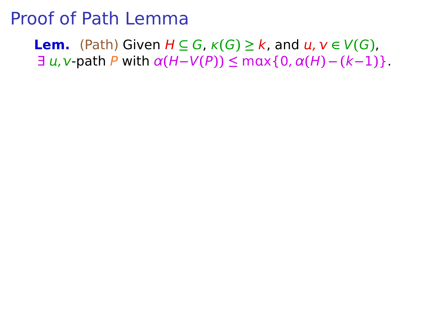**Lem.** (Path) Given  $H \subseteq G$ ,  $\kappa(G) \geq k$ , and  $u, v \in V(G)$ ,  $\exists u,v$ -path P with  $\alpha(H-V(P)) \leq \max\{0,\alpha(H)-(k-1)\}.$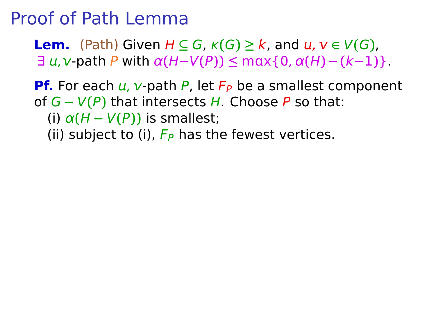**Lem.** (Path) Given  $H \subseteq G$ ,  $\kappa(G) \geq k$ , and  $u, v \in V(G)$ ,  $\exists u,v$  path P with  $\alpha(H-V(P)) \leq \max\{0,\alpha(H)-(k-1)\}.$ 

**Pf.** For each  $u$ ,  $v$ -path P, let  $F_P$  be a smallest component of G **−** V**(**P**)** that intersects H. Choose P so that: (i)  $\alpha(H - V(P))$  is smallest; (ii) subject to (i),  $F_P$  has the fewest vertices.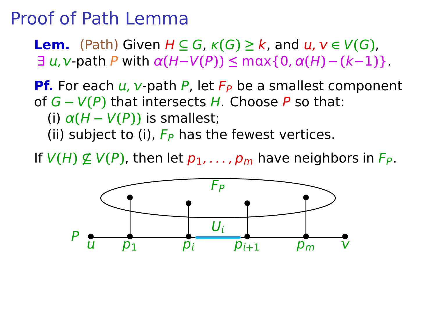**Lem.** (Path) Given  $H \subseteq G$ ,  $\kappa(G) \geq k$ , and  $u, v \in V(G)$ ,  $\exists u,v$ -path P with  $\alpha(H-V(P)) \leq \max\{0,\alpha(H)-(k-1)\}.$ 

**Pf.** For each  $u$ ,  $v$ -path P, let  $F_P$  be a smallest component of G **−** V**(**P**)** that intersects H. Choose P so that: (i)  $\alpha(H - V(P))$  is smallest; (ii) subject to (i),  $F_P$  has the fewest vertices.

If  $V(H) \nsubseteq V(P)$ , then let  $p_1, \ldots, p_m$  have neighbors in  $F_P$ .

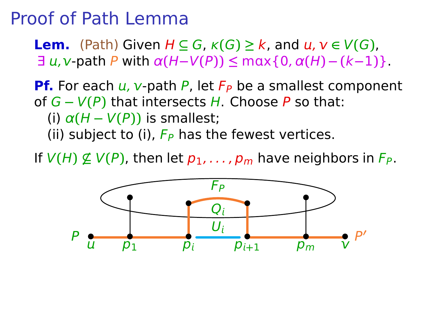**Lem.** (Path) Given  $H \subseteq G$ ,  $\kappa(G) \geq k$ , and  $u, v \in V(G)$ ,  $\exists u,v$ -path P with  $\alpha(H-V(P)) \leq \max\{0,\alpha(H)-(k-1)\}.$ 

**Pf.** For each  $u$ ,  $v$ -path P, let  $F_P$  be a smallest component of G **−** V**(**P**)** that intersects H. Choose P so that: (i)  $\alpha(H - V(P))$  is smallest; (ii) subject to (i),  $F_P$  has the fewest vertices.

If  $V(H) \nsubseteq V(P)$ , then let  $p_1, \ldots, p_m$  have neighbors in  $F_P$ .

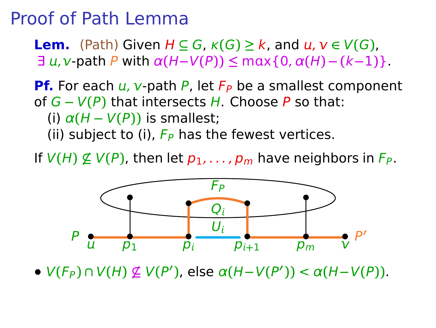**Lem.** (Path) Given  $H \subseteq G$ ,  $\kappa(G) \geq k$ , and  $u, v \in V(G)$ ,  $\exists u,v$ -path P with  $\alpha(H-V(P)) \leq \max\{0,\alpha(H)-(k-1)\}.$ 

**Pf.** For each  $u$ ,  $v$ -path P, let  $F_P$  be a smallest component of G **−** V**(**P**)** that intersects H. Choose P so that: (i)  $\alpha(H - V(P))$  is smallest; (ii) subject to (i),  $F_P$  has the fewest vertices.

If  $V(H) \nsubseteq V(P)$ , then let  $p_1, \ldots, p_m$  have neighbors in  $F_P$ .



**•** V**(**FP**) ∩** V**(**H**) 6⊆** V**(**P **′ )**, else α**(**H**−**V**(**P **′ ))** < α**(**H**−**V**(**P**))**.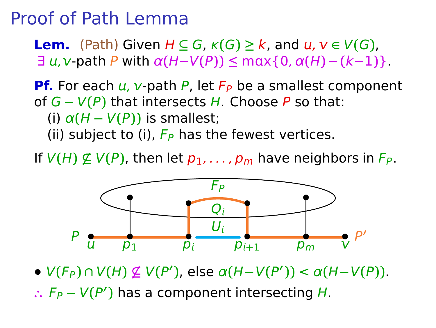**Lem.** (Path) Given  $H \subseteq G$ ,  $\kappa(G) \geq k$ , and  $u, v \in V(G)$ ,  $\exists u,v$ -path P with  $\alpha(H-V(P)) \leq \max\{0,\alpha(H)-(k-1)\}.$ 

**Pf.** For each  $u$ ,  $v$ -path P, let  $F_P$  be a smallest component of G **−** V**(**P**)** that intersects H. Choose P so that: (i)  $\alpha(H - V(P))$  is smallest; (ii) subject to (i),  $F_P$  has the fewest vertices.

If  $V(H) \nsubseteq V(P)$ , then let  $p_1, \ldots, p_m$  have neighbors in  $F_P$ .



**•** V**(**FP**) ∩** V**(**H**) 6⊆** V**(**P **′ )**, else α**(**H**−**V**(**P **′ ))** < α**(**H**−**V**(**P**))**. ∴  $F_P - V(P')$  has a component intersecting *H*.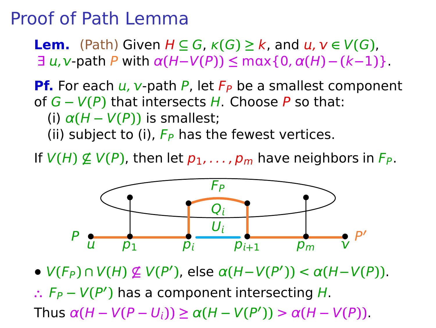**Lem.** (Path) Given  $H \subseteq G$ ,  $\kappa(G) \geq k$ , and  $u, v \in V(G)$ ,  $\exists u,v$ -path P with  $\alpha(H-V(P)) \leq \max\{0,\alpha(H)-(k-1)\}.$ 

**Pf.** For each  $u$ ,  $v$ -path P, let  $F_P$  be a smallest component of G **−** V**(**P**)** that intersects H. Choose P so that: (i)  $\alpha(H - V(P))$  is smallest; (ii) subject to (i),  $F_P$  has the fewest vertices.

If  $V(H) \nsubseteq V(P)$ , then let  $p_1, \ldots, p_m$  have neighbors in  $F_P$ .



**•** V**(**FP**) ∩** V**(**H**) 6⊆** V**(**P **′ )**, else α**(**H**−**V**(**P **′ ))** < α**(**H**−**V**(**P**))**. ∴  $F_P - V(P')$  has a component intersecting *H*.  $\mathsf{T}$ hus  $\alpha(H - V(P - U_i)) \geq \alpha(H - V(P')) > \alpha(H - V(P)).$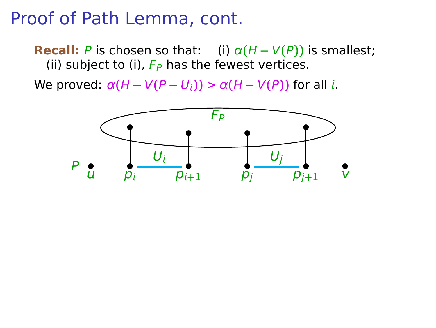**Recall:** P is chosen so that: (i)  $\alpha(H - V(P))$  is smallest; (ii) subject to (i),  $F_P$  has the fewest vertices.

We proved:  $\alpha(H - V(P - U_i)) > \alpha(H - V(P))$  for all *i*.

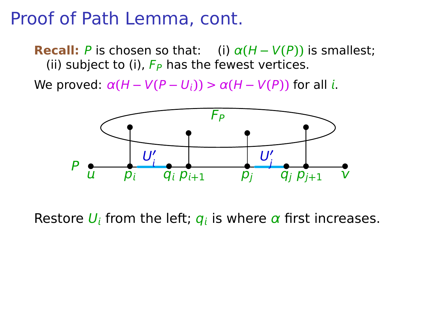**Recall:** P is chosen so that: (i)  $\alpha(H - V(P))$  is smallest; (ii) subject to (i),  $F_P$  has the fewest vertices.

We proved:  $\alpha(H - V(P - U_i)) > \alpha(H - V(P))$  for all *i*.



Restore  $U_i$  from the left;  $q_i$  is where  $\alpha$  first increases.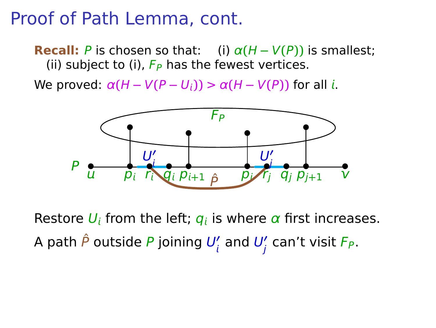**Recall:** P is chosen so that: (i)  $\alpha(H - V(P))$  is smallest; (ii) subject to (i),  $F_P$  has the fewest vertices.

We proved:  $\alpha(H - V(P - U_i)) > \alpha(H - V(P))$  for all *i*.



Restore  $U_i$  from the left;  $q_i$  is where  $\alpha$  first increases. A path  $\hat{P}$  outside  $P$  joining  $U'_l$  and  $U'_j$  can't visit  $F_P.$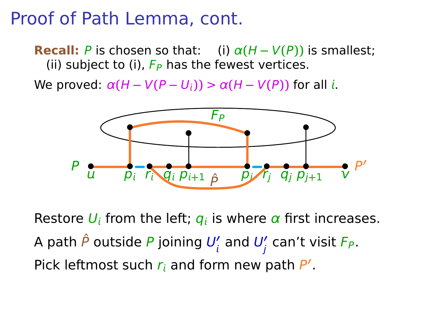**Recall:** P is chosen so that: (i)  $\alpha(H - V(P))$  is smallest; (ii) subject to (i),  $F_P$  has the fewest vertices.

We proved:  $\alpha(H - V(P - U_i)) > \alpha(H - V(P))$  for all *i*.



Restore  $U_i$  from the left;  $q_i$  is where  $\alpha$  first increases. A path  $\hat{P}$  outside  $P$  joining  $U'_l$  and  $U'_j$  can't visit  $F_P.$ Pick leftmost such  $r_i$  and form new path  $P'$ .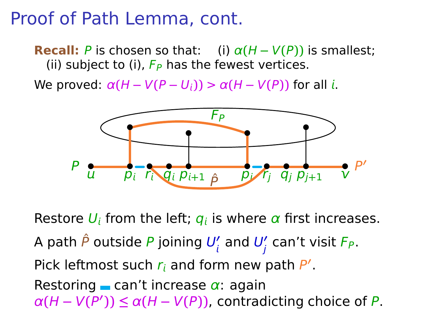**Recall:** P is chosen so that: (i)  $\alpha(H - V(P))$  is smallest; (ii) subject to (i),  $F_P$  has the fewest vertices.

We proved:  $\alpha(H - V(P - U_i)) > \alpha(H - V(P))$  for all *i*.



Restore  $U_i$  from the left;  $q_i$  is where  $\alpha$  first increases. A path  $\hat{P}$  outside  $P$  joining  $U'_l$  and  $U'_j$  can't visit  $F_P.$ Pick leftmost such  $r_i$  and form new path  $P'$ . Restoring can't increase  $\alpha$ : again  $\alpha(H - V(P')) \leq \alpha(H - V(P))$ , contradicting choice of P.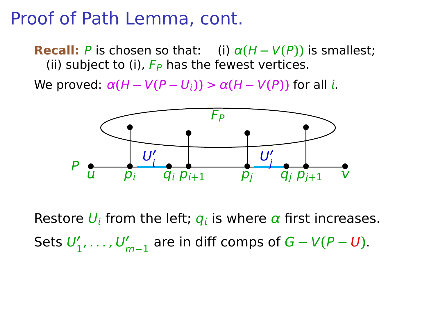**Recall:** P is chosen so that: (i)  $\alpha(H - V(P))$  is smallest; (ii) subject to (i),  $F_P$  has the fewest vertices.

We proved:  $\alpha(H - V(P - U_i)) > \alpha(H - V(P))$  for all *i*.



Restore  $U_i$  from the left;  $q_i$  is where  $\alpha$  first increases. Sets  $U'_1, \ldots, U'_{m-1}$  are in diff comps of  $G - V(P - U)$ .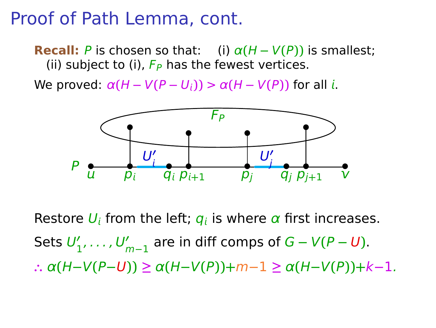**Recall:** P is chosen so that: (i)  $\alpha(H - V(P))$  is smallest; (ii) subject to (i),  $F_P$  has the fewest vertices.

We proved:  $\alpha(H - V(P - U_i)) > \alpha(H - V(P))$  for all *i*.



Restore  $U_i$  from the left;  $q_i$  is where  $\alpha$  first increases. Sets  $U'_1, \ldots, U'_{m-1}$  are in diff comps of  $G - V(P - U)$ . **∴** α**(**H**−**V**(**P**−**U**)) ≥** α**(**H**−**V**(**P**))+**m**−**1 **≥** α**(**H**−**V**(**P**))+**k**−**1.